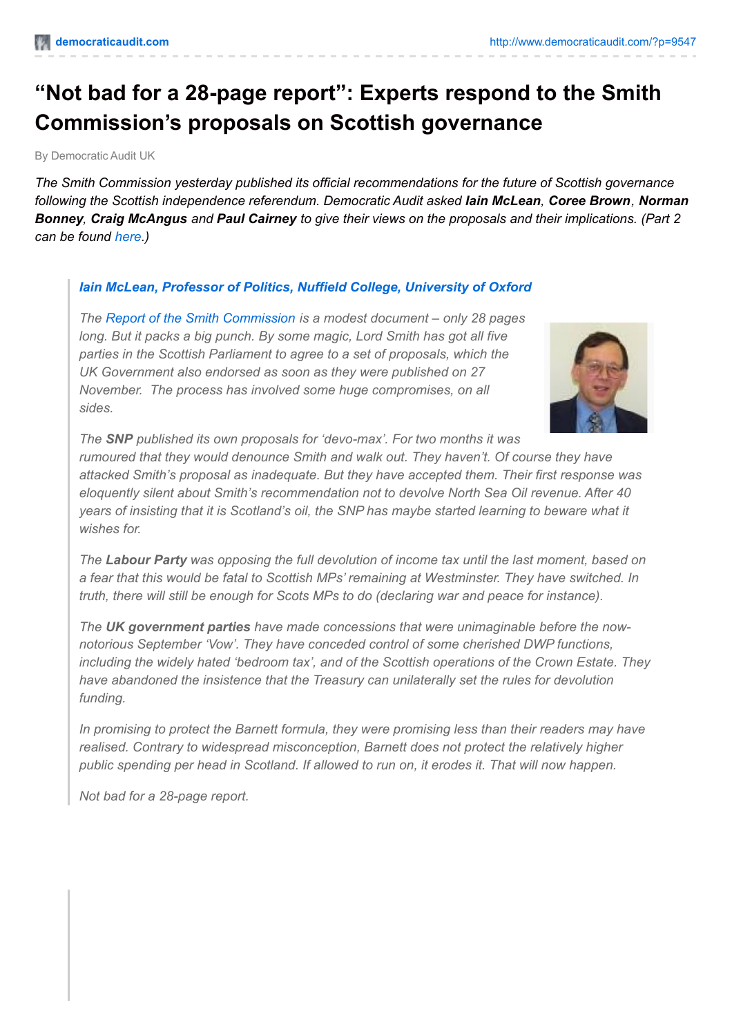# **"Not bad for a 28-page report": Experts respond to the Smith Commission's proposals on Scottish governance**

By Democratic Audit UK

*The Smith Commission yesterday published its official recommendations for the future of Scottish governance following the Scottish independence referendum. Democratic Audit asked Iain McLean, Coree Brown, Norman* Bonney, Craig McAngus and Paul Cairney to give their views on the proposals and their implications. (Part 2 *can be found [here](http://www.democraticaudit.com/?p=9578).)*

## *Iain McLean, Professor of Politics, Nuffield College, [University](http://www.politics.ox.ac.uk/index.php/profile/iain-mclean.html) of Oxford*

*The Report of the Smith [Commission](http://www.smith-commission.scot/wp-content/uploads/2014/11/The_Smith_Commission_Report-1.pdf) is a modest document – only 28 pages long. But it packs a big punch. By some magic, Lord Smith has got all five parties in the Scottish Parliament to agree to a set of proposals, which the UK Government also endorsed as soon as they were published on 27 November. The process has involved some huge compromises, on all sides.*



*The SNP published its own proposals for 'devo-max'. For two months it was rumoured that they would denounce Smith and walk out. They haven't. Of course they have attacked Smith's proposal as inadequate. But they have accepted them. Their first response was eloquently silent about Smith's recommendation not to devolve North Sea Oil revenue. After 40 years of insisting that it is Scotland's oil, the SNP has maybe started learning to beware what it wishes for.*

*The Labour Party was opposing the full devolution of income tax until the last moment, based on a fear that this would be fatal to Scottish MPs' remaining at Westminster. They have switched. In truth, there will still be enough for Scots MPs to do (declaring war and peace for instance).*

*The UK government parties have made concessions that were unimaginable before the nownotorious September 'Vow'. They have conceded control of some cherished DWP functions, including the widely hated 'bedroom tax', and of the Scottish operations of the Crown Estate. They have abandoned the insistence that the Treasury can unilaterally set the rules for devolution funding.*

*In promising to protect the Barnett formula, they were promising less than their readers may have realised. Contrary to widespread misconception, Barnett does not protect the relatively higher public spending per head in Scotland. If allowed to run on, it erodes it. That will now happen.*

*Not bad for a 28-page report.*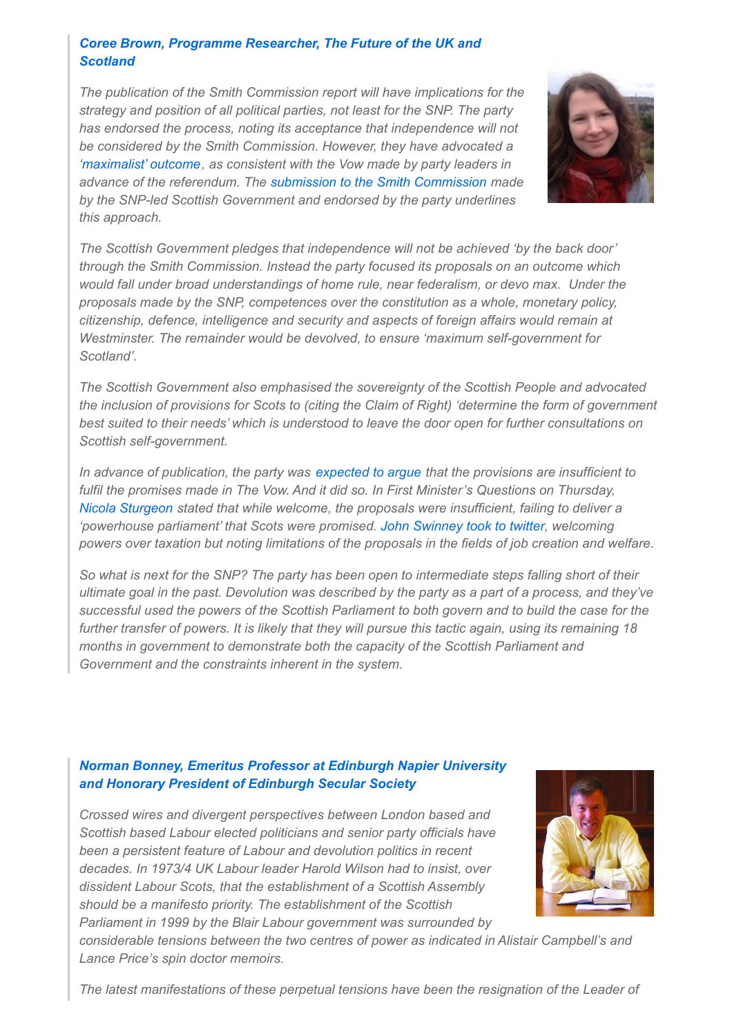#### *Coree Brown, Programme [Researcher,](https://t.co/CNv3qiMn5k) The Future of the UK and Scotland*

*The publication of the Smith Commission report will have implications for the strategy and position of all political parties, not least for the SNP. The party has endorsed the process, noting its acceptance that independence will not be considered by the Smith Commission. However, they have advocated a ['maximalist'](http://www.snp.org/media-centre/news/2014/oct/snp-submission-smith-commission) outcome, as consistent with the Vow made by party leaders in advance of the referendum. The submission to the Smith [Commission](http://www.scotland.gov.uk/Resource/0046/00460563.pdf) made by the SNP-led Scottish Government and endorsed by the party underlines this approach.*



*The Scottish Government pledges that independence will not be achieved 'by the back door' through the Smith Commission. Instead the party focused its proposals on an outcome which would fall under broad understandings of home rule, near federalism, or devo max. Under the proposals made by the SNP, competences over the constitution as a whole, monetary policy, citizenship, defence, intelligence and security and aspects of foreign affairs would remain at Westminster. The remainder would be devolved, to ensure 'maximum self-government for Scotland'.*

*The Scottish Government also emphasised the sovereignty of the Scottish People and advocated the inclusion of provisions for Scots to (citing the Claim of Right) 'determine the form of government best suited to their needs' which is understood to leave the door open for further consultations on Scottish self-government.*

*In advance of publication, the party was [expected](http://www.futureukandscotland.ac.uk/blog/smith-contributions-purpose-built-accident) to argue that the provisions are insufficient to fulfil the promises made in The Vow. And it did so. In First Minister's Questions on Thursday, Nicola [Sturgeon](http://www.theguardian.com/uk-news/2014/nov/27/nicola-sturgeon-smith-commission-fails-deliver-scotland-powerhouse-parliament) stated that while welcome, the proposals were insufficient, failing to deliver a 'powerhouse parliament' that Scots were promised. John [Swinney](https://twitter.com/JohnSwinney/status/537919778217021440) took to twitter, welcoming powers over taxation but noting limitations of the proposals in the fields of job creation and welfare.*

So what is next for the SNP? The party has been open to intermediate steps falling short of their ultimate goal in the past. Devolution was described by the party as a part of a process, and they've *successful used the powers of the Scottish Parliament to both govern and to build the case for the* further transfer of powers. It is likely that they will pursue this tactic again, using its remaining 18 *months in government to demonstrate both the capacity of the Scottish Parliament and Government and the constraints inherent in the system.*

## *Norman [Bonney,](http://normanbonneyonreligionandthestate.blogspot.co.uk/) Emeritus Professor at [Edinburgh](http://normanbonneyonreligionandthestate.blogspot.co.uk/) Napier University and Honorary President of Edinburgh Secular Society*

*Crossed wires and divergent perspectives between London based and Scottish based Labour elected politicians and senior party officials have been a persistent feature of Labour and devolution politics in recent decades. In 1973/4 UK Labour leader Harold Wilson had to insist, over dissident Labour Scots, that the establishment of a Scottish Assembly should be a manifesto priority. The establishment of the Scottish Parliament in 1999 by the Blair Labour government was surrounded by*



*considerable tensions between the two centres of power as indicated in Alistair Campbell's and Lance Price's spin doctor memoirs.*

*The latest manifestations of these perpetual tensions have been the resignation of the Leader of*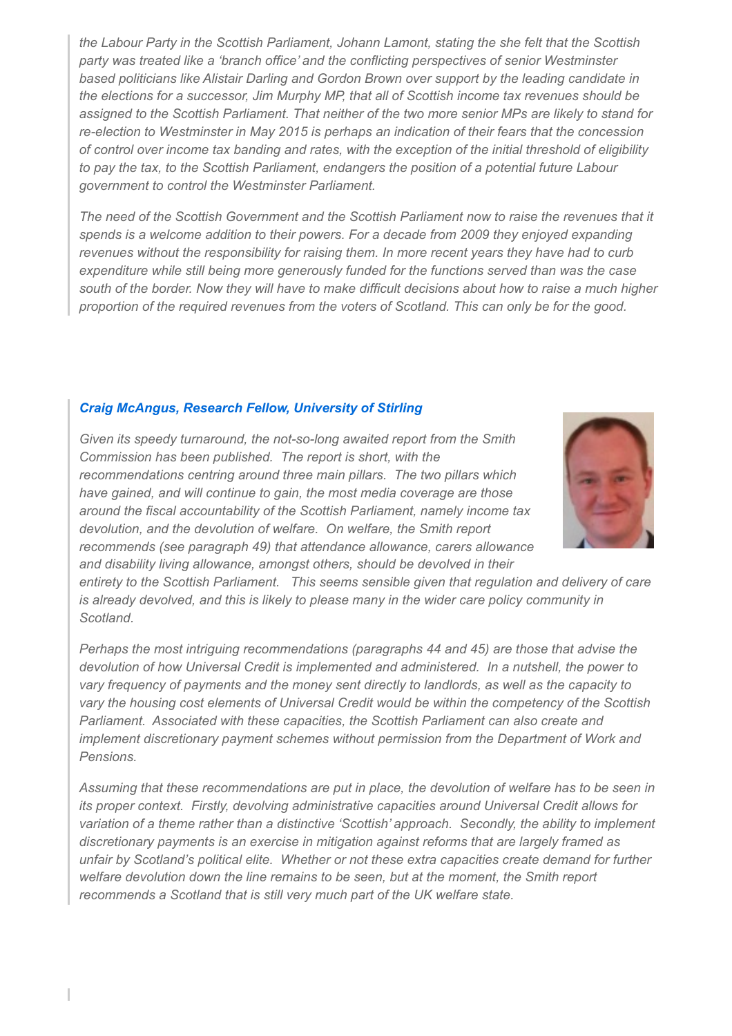*the Labour Party in the Scottish Parliament, Johann Lamont, stating the she felt that the Scottish party was treated like a 'branch office' and the conflicting perspectives of senior Westminster based politicians like Alistair Darling and Gordon Brown over support by the leading candidate in the elections for a successor, Jim Murphy MP, that all of Scottish income tax revenues should be* assigned to the Scottish Parliament. That neither of the two more senior MPs are likely to stand for *re-election to Westminster in May 2015 is perhaps an indication of their fears that the concession of control over income tax banding and rates, with the exception of the initial threshold of eligibility to pay the tax, to the Scottish Parliament, endangers the position of a potential future Labour government to control the Westminster Parliament.*

*The need of the Scottish Government and the Scottish Parliament now to raise the revenues that it spends is a welcome addition to their powers. For a decade from 2009 they enjoyed expanding revenues without the responsibility for raising them. In more recent years they have had to curb expenditure while still being more generously funded for the functions served than was the case* south of the border. Now they will have to make difficult decisions about how to raise a much higher *proportion of the required revenues from the voters of Scotland. This can only be for the good.*

#### *Craig McAngus, Research Fellow, [University](http://stir.academia.edu/CraigMcAngus) of Stirling*

*Given its speedy turnaround, the not-so-long awaited report from the Smith Commission has been published. The report is short, with the recommendations centring around three main pillars. The two pillars which have gained, and will continue to gain, the most media coverage are those around the fiscal accountability of the Scottish Parliament, namely income tax devolution, and the devolution of welfare. On welfare, the Smith report recommends (see paragraph 49) that attendance allowance, carers allowance and disability living allowance, amongst others, should be devolved in their*



*entirety to the Scottish Parliament. This seems sensible given that regulation and delivery of care is already devolved, and this is likely to please many in the wider care policy community in Scotland.*

*Perhaps the most intriguing recommendations (paragraphs 44 and 45) are those that advise the devolution of how Universal Credit is implemented and administered. In a nutshell, the power to vary frequency of payments and the money sent directly to landlords, as well as the capacity to vary the housing cost elements of Universal Credit would be within the competency of the Scottish Parliament. Associated with these capacities, the Scottish Parliament can also create and implement discretionary payment schemes without permission from the Department of Work and Pensions.*

*Assuming that these recommendations are put in place, the devolution of welfare has to be seen in its proper context. Firstly, devolving administrative capacities around Universal Credit allows for variation of a theme rather than a distinctive 'Scottish' approach. Secondly, the ability to implement discretionary payments is an exercise in mitigation against reforms that are largely framed as unfair by Scotland's political elite. Whether or not these extra capacities create demand for further welfare devolution down the line remains to be seen, but at the moment, the Smith report recommends a Scotland that is still very much part of the UK welfare state.*